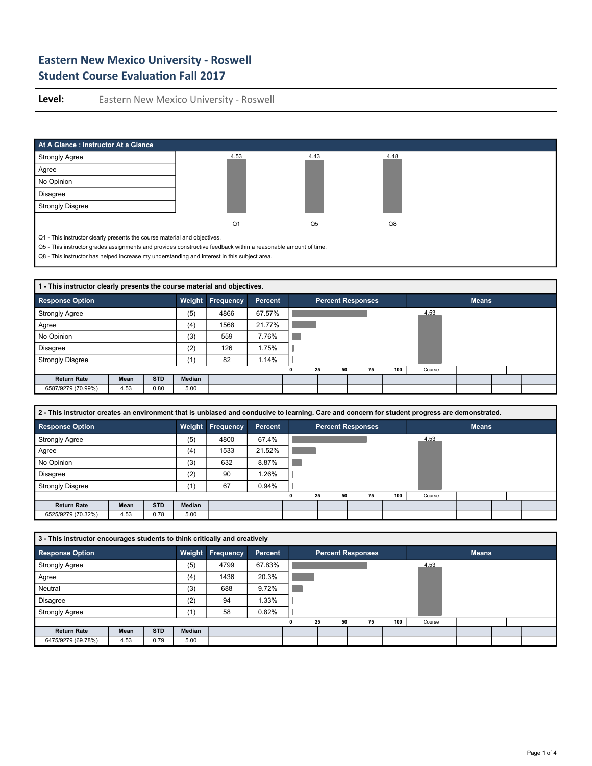

| 1 - This instructor clearly presents the course material and objectives. |      |            |               |                  |         |                          |    |    |     |        |              |  |
|--------------------------------------------------------------------------|------|------------|---------------|------------------|---------|--------------------------|----|----|-----|--------|--------------|--|
| <b>Response Option</b>                                                   |      |            | Weight        | <b>Frequency</b> | Percent | <b>Percent Responses</b> |    |    |     |        | <b>Means</b> |  |
| <b>Strongly Agree</b>                                                    |      |            | (5)           | 4866             | 67.57%  |                          |    |    |     | 4.53   |              |  |
| Agree                                                                    |      |            | (4)           | 1568             | 21.77%  |                          |    |    |     |        |              |  |
| No Opinion                                                               |      |            | (3)           | 559              | 7.76%   |                          |    |    |     |        |              |  |
| <b>Disagree</b>                                                          |      |            | (2)           | 126              | 1.75%   |                          |    |    |     |        |              |  |
| <b>Strongly Disgree</b>                                                  |      |            | (1)           | 82               | 1.14%   |                          |    |    |     |        |              |  |
|                                                                          |      |            |               |                  |         | 25                       | 50 | 75 | 100 | Course |              |  |
| <b>Return Rate</b>                                                       | Mean | <b>STD</b> | <b>Median</b> |                  |         |                          |    |    |     |        |              |  |
| 6587/9279 (70.99%)                                                       | 4.53 | 0.80       | 5.00          |                  |         |                          |    |    |     |        |              |  |

| 2 - This instructor creates an environment that is unbiased and conducive to learning. Care and concern for student progress are demonstrated. |  |  |  |
|------------------------------------------------------------------------------------------------------------------------------------------------|--|--|--|
|                                                                                                                                                |  |  |  |

| <b>Response Option</b>  |      |            |        | <b>Weight Frequency</b> | Percent |    |    | <b>Percent Responses</b> |     |        | <b>Means</b> |  |
|-------------------------|------|------------|--------|-------------------------|---------|----|----|--------------------------|-----|--------|--------------|--|
| <b>Strongly Agree</b>   |      |            | (5)    | 4800                    | 67.4%   |    |    |                          |     | 4.53   |              |  |
| Agree                   |      |            | (4)    | 1533                    | 21.52%  |    |    |                          |     |        |              |  |
| No Opinion              |      |            | (3)    | 632                     | 8.87%   |    |    |                          |     |        |              |  |
| <b>Disagree</b>         |      |            | (2)    | 90                      | 1.26%   |    |    |                          |     |        |              |  |
| <b>Strongly Disgree</b> |      |            | (1)    | 67                      | 0.94%   |    |    |                          |     |        |              |  |
|                         |      |            |        |                         |         | 25 | 50 | 75                       | 100 | Course |              |  |
| <b>Return Rate</b>      | Mean | <b>STD</b> | Median |                         |         |    |    |                          |     |        |              |  |
| 6525/9279 (70.32%)      | 4.53 | 0.78       | 5.00   |                         |         |    |    |                          |     |        |              |  |

| 3 - This instructor encourages students to think critically and creatively |      |            |        |                  |         |    |                          |     |        |              |  |
|----------------------------------------------------------------------------|------|------------|--------|------------------|---------|----|--------------------------|-----|--------|--------------|--|
| <b>Response Option</b>                                                     |      |            |        | Weight Frequency | Percent |    | <b>Percent Responses</b> |     |        | <b>Means</b> |  |
| <b>Strongly Agree</b>                                                      |      |            | (5)    | 4799             | 67.83%  |    |                          |     | 4.53   |              |  |
| Agree                                                                      |      |            | (4)    | 1436             | 20.3%   |    |                          |     |        |              |  |
| Neutral                                                                    |      |            | (3)    | 688              | 9.72%   |    |                          |     |        |              |  |
| <b>Disagree</b>                                                            |      |            | (2)    | 94               | 1.33%   |    |                          |     |        |              |  |
| <b>Strongly Agree</b>                                                      |      |            | (1)    | 58               | 0.82%   |    |                          |     |        |              |  |
|                                                                            |      |            |        |                  |         | 25 | 75<br>50                 | 100 | Course |              |  |
| <b>Return Rate</b>                                                         | Mean | <b>STD</b> | Median |                  |         |    |                          |     |        |              |  |
| 6475/9279 (69.78%)                                                         | 4.53 | 0.79       | 5.00   |                  |         |    |                          |     |        |              |  |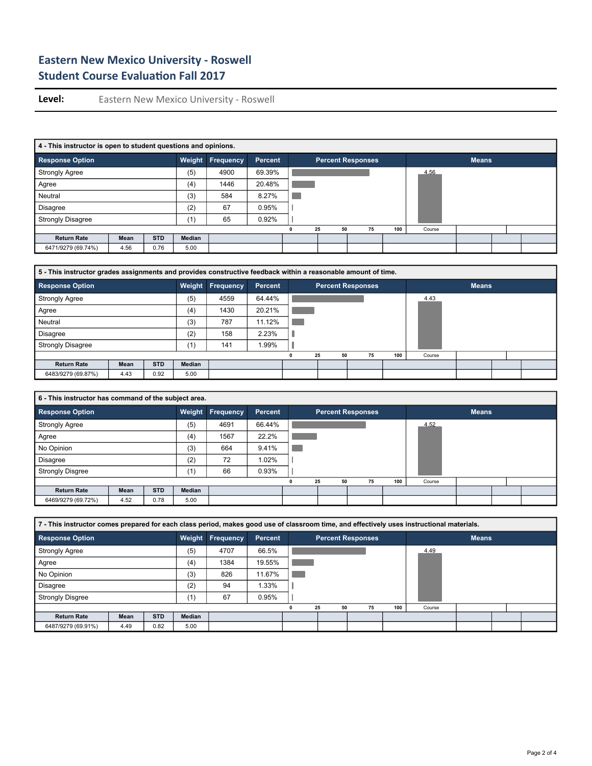| 4 - This instructor is open to student questions and opinions. |      |            |        |           |         |    |                          |     |        |              |  |
|----------------------------------------------------------------|------|------------|--------|-----------|---------|----|--------------------------|-----|--------|--------------|--|
| <b>Response Option</b>                                         |      |            | Weight | Frequency | Percent |    | <b>Percent Responses</b> |     |        | <b>Means</b> |  |
| <b>Strongly Agree</b>                                          |      |            | (5)    | 4900      | 69.39%  |    |                          |     | 4.56   |              |  |
| Agree                                                          |      |            | (4)    | 1446      | 20.48%  |    |                          |     |        |              |  |
| Neutral                                                        |      |            | (3)    | 584       | 8.27%   |    |                          |     |        |              |  |
| <b>Disagree</b>                                                |      |            | (2)    | 67        | 0.95%   |    |                          |     |        |              |  |
| <b>Strongly Disagree</b>                                       |      |            | (1)    | 65        | 0.92%   |    |                          |     |        |              |  |
|                                                                |      |            |        |           |         | 25 | 75<br>50                 | 100 | Course |              |  |
| <b>Return Rate</b>                                             | Mean | <b>STD</b> | Median |           |         |    |                          |     |        |              |  |
| 6471/9279 (69.74%)                                             | 4.56 | 0.76       | 5.00   |           |         |    |                          |     |        |              |  |

| 5 - This instructor grades assignments and provides constructive feedback within a reasonable amount of time. |      |            |               |                  |                |   |    |                          |     |        |              |  |  |
|---------------------------------------------------------------------------------------------------------------|------|------------|---------------|------------------|----------------|---|----|--------------------------|-----|--------|--------------|--|--|
| <b>Response Option</b>                                                                                        |      |            | Weight        | <b>Frequency</b> | <b>Percent</b> |   |    | <b>Percent Responses</b> |     |        | <b>Means</b> |  |  |
| <b>Strongly Agree</b>                                                                                         |      |            | (5)           | 4559             | 64.44%         |   |    |                          |     | 4.43   |              |  |  |
| Agree                                                                                                         |      |            | (4)           | 1430             | 20.21%         |   |    |                          |     |        |              |  |  |
| Neutral                                                                                                       |      |            | (3)           | 787              | 11.12%         |   |    |                          |     |        |              |  |  |
| <b>Disagree</b>                                                                                               |      |            | (2)           | 158              | 2.23%          |   |    |                          |     |        |              |  |  |
| <b>Strongly Disagree</b>                                                                                      |      |            | (1)           | 141              | 1.99%          |   |    |                          |     |        |              |  |  |
|                                                                                                               |      |            |               |                  |                | n | 25 | 75<br>50                 | 100 | Course |              |  |  |
| <b>Return Rate</b>                                                                                            | Mean | <b>STD</b> | <b>Median</b> |                  |                |   |    |                          |     |        |              |  |  |
| 6483/9279 (69.87%)                                                                                            | 4.43 | 0.92       | 5.00          |                  |                |   |    |                          |     |        |              |  |  |

| 6 - This instructor has command of the subject area. |      |            |               |                  |         |                          |    |    |     |        |              |  |
|------------------------------------------------------|------|------------|---------------|------------------|---------|--------------------------|----|----|-----|--------|--------------|--|
| <b>Response Option</b>                               |      |            |               | Weight Frequency | Percent | <b>Percent Responses</b> |    |    |     |        | <b>Means</b> |  |
| <b>Strongly Agree</b>                                |      |            | (5)           | 4691             | 66.44%  |                          |    |    |     | 4.52   |              |  |
| Agree                                                |      |            | (4)           | 1567             | 22.2%   |                          |    |    |     |        |              |  |
| No Opinion                                           |      |            | (3)           | 664              | 9.41%   |                          |    |    |     |        |              |  |
| Disagree                                             |      |            | (2)           | 72               | 1.02%   |                          |    |    |     |        |              |  |
| <b>Strongly Disgree</b>                              |      |            | (1)           | 66               | 0.93%   |                          |    |    |     |        |              |  |
|                                                      |      |            |               |                  |         | 25                       | 50 | 75 | 100 | Course |              |  |
| <b>Return Rate</b>                                   | Mean | <b>STD</b> | <b>Median</b> |                  |         |                          |    |    |     |        |              |  |
| 6469/9279 (69.72%)                                   | 4.52 | 0.78       | 5.00          |                  |         |                          |    |    |     |        |              |  |

| 7 - This instructor comes prepared for each class period, makes good use of classroom time, and effectively uses instructional materials. |      |            |        |                  |                |    |    |                          |    |     |        |              |  |  |
|-------------------------------------------------------------------------------------------------------------------------------------------|------|------------|--------|------------------|----------------|----|----|--------------------------|----|-----|--------|--------------|--|--|
| <b>Response Option</b>                                                                                                                    |      |            |        | Weight Frequency | <b>Percent</b> |    |    | <b>Percent Responses</b> |    |     |        | <b>Means</b> |  |  |
| <b>Strongly Agree</b>                                                                                                                     |      |            | (5)    | 4707             | 66.5%          |    |    |                          |    |     | 4.49   |              |  |  |
| Agree                                                                                                                                     |      |            | (4)    | 1384             | 19.55%         |    |    |                          |    |     |        |              |  |  |
| No Opinion                                                                                                                                |      |            | (3)    | 826              | 11.67%         |    |    |                          |    |     |        |              |  |  |
| <b>Disagree</b>                                                                                                                           |      |            | (2)    | 94               | 1.33%          |    |    |                          |    |     |        |              |  |  |
| <b>Strongly Disgree</b>                                                                                                                   |      |            | (1)    | 67               | 0.95%          |    |    |                          |    |     |        |              |  |  |
|                                                                                                                                           |      |            |        |                  |                | 25 | 50 |                          | 75 | 100 | Course |              |  |  |
| <b>Return Rate</b>                                                                                                                        | Mean | <b>STD</b> | Median |                  |                |    |    |                          |    |     |        |              |  |  |
| 6487/9279 (69.91%)                                                                                                                        | 4.49 | 0.82       | 5.00   |                  |                |    |    |                          |    |     |        |              |  |  |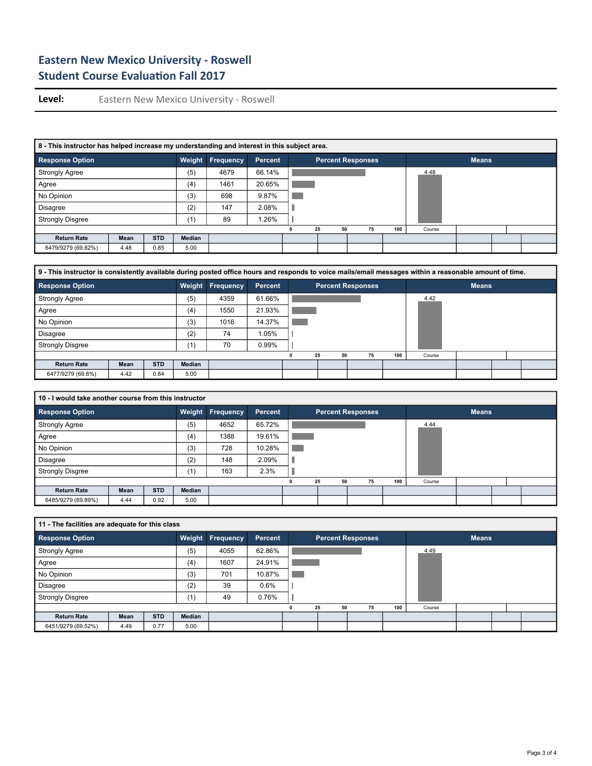| 8 - This instructor has helped increase my understanding and interest in this subject area. |      |            |        |                  |                |          |                          |     |        |              |  |
|---------------------------------------------------------------------------------------------|------|------------|--------|------------------|----------------|----------|--------------------------|-----|--------|--------------|--|
| <b>Response Option</b>                                                                      |      |            | Weight | <b>Frequency</b> | <b>Percent</b> |          | <b>Percent Responses</b> |     |        | <b>Means</b> |  |
| <b>Strongly Agree</b>                                                                       |      |            | (5)    | 4679             | 66.14%         |          |                          |     | 4.48   |              |  |
| Agree                                                                                       |      |            | (4)    | 1461             | 20.65%         |          |                          |     |        |              |  |
| No Opinion                                                                                  |      |            | (3)    | 698              | 9.87%          |          |                          |     |        |              |  |
| <b>Disagree</b>                                                                             |      |            | (2)    | 147              | 2.08%          |          |                          |     |        |              |  |
| <b>Strongly Disgree</b>                                                                     |      |            | (1)    | 89               | $1.26\%$       |          |                          |     |        |              |  |
|                                                                                             |      |            |        |                  |                | 50<br>25 | 75                       | 100 | Course |              |  |
| <b>Return Rate</b>                                                                          | Mean | <b>STD</b> | Median |                  |                |          |                          |     |        |              |  |
| 6479/9279 (69.82%)                                                                          | 4.48 | 0.85       | 5.00   |                  |                |          |                          |     |        |              |  |

| 9 - This instructor is consistently available during posted office hours and responds to voice mails/email messages within a reasonable amount of time. |      |            |               |                  |                |          |                          |     |        |              |  |
|---------------------------------------------------------------------------------------------------------------------------------------------------------|------|------------|---------------|------------------|----------------|----------|--------------------------|-----|--------|--------------|--|
| <b>Response Option</b>                                                                                                                                  |      |            | Weight        | <b>Frequency</b> | <b>Percent</b> |          | <b>Percent Responses</b> |     |        | <b>Means</b> |  |
| <b>Strongly Agree</b>                                                                                                                                   |      |            | (5)           | 4359             | 61.66%         |          |                          |     | 4.42   |              |  |
| Agree                                                                                                                                                   |      |            | (4)           | 1550             | 21.93%         |          |                          |     |        |              |  |
| No Opinion                                                                                                                                              |      |            | (3)           | 1016             | 14.37%         |          |                          |     |        |              |  |
| <b>Disagree</b>                                                                                                                                         |      |            | (2)           | 74               | $1.05\%$       |          |                          |     |        |              |  |
| <b>Strongly Disgree</b>                                                                                                                                 |      |            | (1)           | 70               | 0.99%          |          |                          |     |        |              |  |
|                                                                                                                                                         |      |            |               |                  |                | 50<br>25 | 75                       | 100 | Course |              |  |
| <b>Return Rate</b>                                                                                                                                      | Mean | <b>STD</b> | <b>Median</b> |                  |                |          |                          |     |        |              |  |
| 6477/9279 (69.8%)                                                                                                                                       | 4.42 | 0.84       | 5.00          |                  |                |          |                          |     |        |              |  |

| 10 - I would take another course from this instructor |      |            |               |                         |         |                          |    |    |     |        |              |  |
|-------------------------------------------------------|------|------------|---------------|-------------------------|---------|--------------------------|----|----|-----|--------|--------------|--|
| <b>Response Option</b>                                |      |            |               | <b>Weight Frequency</b> | Percent | <b>Percent Responses</b> |    |    |     |        | <b>Means</b> |  |
| <b>Strongly Agree</b>                                 |      |            | (5)           | 4652                    | 65.72%  |                          |    |    |     | 4.44   |              |  |
| Agree                                                 |      |            | (4)           | 1388                    | 19.61%  |                          |    |    |     |        |              |  |
| No Opinion                                            |      |            | (3)           | 728                     | 10.28%  |                          |    |    |     |        |              |  |
| Disagree                                              |      |            | (2)           | 148                     | 2.09%   |                          |    |    |     |        |              |  |
| <b>Strongly Disgree</b>                               |      |            | (1)           | 163                     | 2.3%    |                          |    |    |     |        |              |  |
|                                                       |      |            |               |                         |         | 25                       | 50 | 75 | 100 | Course |              |  |
| <b>Return Rate</b>                                    | Mean | <b>STD</b> | <b>Median</b> |                         |         |                          |    |    |     |        |              |  |
| 6485/9279 (69.89%)                                    | 4.44 | 0.92       | 5.00          |                         |         |                          |    |    |     |        |              |  |

| 11 - The facilities are adequate for this class |      |            |        |                  |         |   |    |                          |     |        |              |  |
|-------------------------------------------------|------|------------|--------|------------------|---------|---|----|--------------------------|-----|--------|--------------|--|
| <b>Response Option</b>                          |      |            | Weight | <b>Frequency</b> | Percent |   |    | <b>Percent Responses</b> |     |        | <b>Means</b> |  |
| <b>Strongly Agree</b>                           |      |            | (5)    | 4055             | 62.86%  |   |    |                          |     | 4.49   |              |  |
| Agree                                           |      |            | (4)    | 1607             | 24.91%  |   |    |                          |     |        |              |  |
| No Opinion                                      |      |            | (3)    | 701              | 10.87%  |   |    |                          |     |        |              |  |
| Disagree                                        |      |            | (2)    | 39               | 0.6%    |   |    |                          |     |        |              |  |
| <b>Strongly Disgree</b>                         |      |            | (1)    | 49               | 0.76%   |   |    |                          |     |        |              |  |
|                                                 |      |            |        |                  |         | 0 | 25 | 75<br>50                 | 100 | Course |              |  |
| <b>Return Rate</b>                              | Mean | <b>STD</b> | Median |                  |         |   |    |                          |     |        |              |  |
| 6451/9279 (69.52%)                              | 4.49 | 0.77       | 5.00   |                  |         |   |    |                          |     |        |              |  |